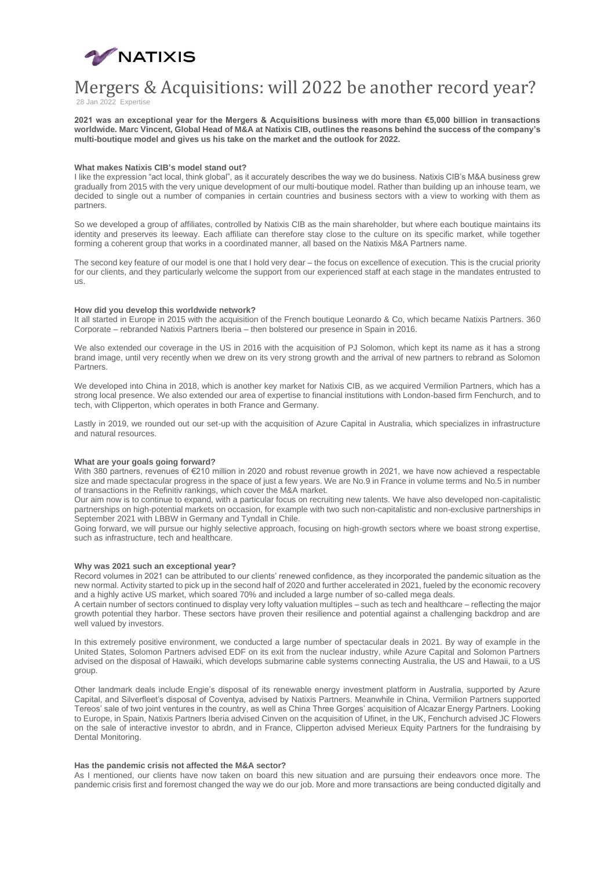

# Mergers & Acquisitions: will 2022 be another record year? 28 Jan 2022 Expertise

**2021 was an exceptional year for the Mergers & Acquisitions business with more than €5,000 billion in transactions worldwide. Marc Vincent, Global Head of M&A at Natixis CIB, outlines the reasons behind the success of the company's multi-boutique model and gives us his take on the market and the outlook for 2022.**

### **What makes Natixis CIB's model stand out?**

I like the expression "act local, think global", as it accurately describes the way we do business. Natixis CIB's M&A business grew gradually from 2015 with the very unique development of our multi-boutique model. Rather than building up an inhouse team, we decided to single out a number of companies in certain countries and business sectors with a view to working with them as partners.

So we developed a group of affiliates, controlled by Natixis CIB as the main shareholder, but where each boutique maintains its identity and preserves its leeway. Each affiliate can therefore stay close to the culture on its specific market, while together forming a coherent group that works in a coordinated manner, all based on the Natixis M&A Partners name.

The second key feature of our model is one that I hold very dear – the focus on excellence of execution. This is the crucial priority for our clients, and they particularly welcome the support from our experienced staff at each stage in the mandates entrusted to us.

## **How did you develop this worldwide network?**

It all started in Europe in 2015 with the acquisition of the French boutique Leonardo & Co, which became Natixis Partners. 360 Corporate – rebranded Natixis Partners Iberia – then bolstered our presence in Spain in 2016.

We also extended our coverage in the US in 2016 with the acquisition of PJ Solomon, which kept its name as it has a strong brand image, until very recently when we drew on its very strong growth and the arrival of new partners to rebrand as Solomon Partners.

We developed into China in 2018, which is another key market for Natixis CIB, as we acquired Vermilion Partners, which has a strong local presence. We also extended our area of expertise to financial institutions with London-based firm Fenchurch, and to tech, with Clipperton, which operates in both France and Germany.

Lastly in 2019, we rounded out our set-up with the acquisition of Azure Capital in Australia, which specializes in infrastructure and natural resources.

### **What are your goals going forward?**

With 380 partners, revenues of €210 million in 2020 and robust revenue growth in 2021, we have now achieved a respectable size and made spectacular progress in the space of just a few years. We are No.9 in France in volume terms and No.5 in number of transactions in the Refinitiv rankings, which cover the M&A market.

Our aim now is to continue to expand, with a particular focus on recruiting new talents. We have also developed non-capitalistic partnerships on high-potential markets on occasion, for example with two such non-capitalistic and non-exclusive partnerships in September 2021 with LBBW in Germany and Tyndall in Chile.

Going forward, we will pursue our highly selective approach, focusing on high-growth sectors where we boast strong expertise, such as infrastructure, tech and healthcare.

# **Why was 2021 such an exceptional year?**

Record volumes in 2021 can be attributed to our clients' renewed confidence, as they incorporated the pandemic situation as the new normal. Activity started to pick up in the second half of 2020 and further accelerated in 2021, fueled by the economic recovery and a highly active US market, which soared 70% and included a large number of so-called mega deals.

A certain number of sectors continued to display very lofty valuation multiples – such as tech and healthcare – reflecting the major growth potential they harbor. These sectors have proven their resilience and potential against a challenging backdrop and are well valued by investors.

In this extremely positive environment, we conducted a large number of spectacular deals in 2021. By way of example in the United States, Solomon Partners advised EDF on its exit from the nuclear industry, while Azure Capital and Solomon Partners advised on the disposal of Hawaiki, which develops submarine cable systems connecting Australia, the US and Hawaii, to a US group.

Other landmark deals include Engie's disposal of its renewable energy investment platform in Australia, supported by Azure Capital, and Silverfleet's disposal of Coventya, advised by Natixis Partners. Meanwhile in China, Vermilion Partners supported Tereos' sale of two joint ventures in the country, as well as China Three Gorges' acquisition of Alcazar Energy Partners. Looking to Europe, in Spain, Natixis Partners Iberia advised Cinven on the acquisition of Ufinet, in the UK, Fenchurch advised JC Flowers on the sale of interactive investor to abrdn, and in France, Clipperton advised Merieux Equity Partners for the fundraising by Dental Monitoring.

# **Has the pandemic crisis not affected the M&A sector?**

As I mentioned, our clients have now taken on board this new situation and are pursuing their endeavors once more. The pandemic crisis first and foremost changed the way we do our job. More and more transactions are being conducted digitally and